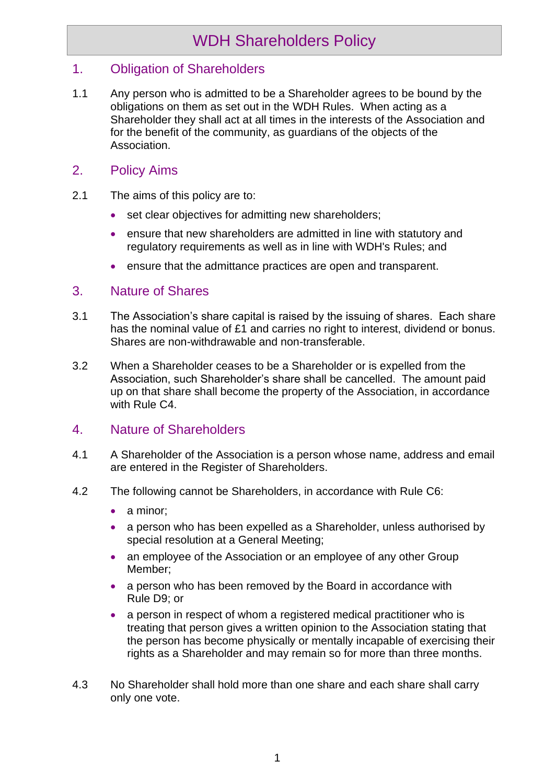# WDH Shareholders Policy

## 1. Obligation of Shareholders

1.1 Any person who is admitted to be a Shareholder agrees to be bound by the obligations on them as set out in the WDH Rules. When acting as a Shareholder they shall act at all times in the interests of the Association and for the benefit of the community, as guardians of the objects of the Association.

#### 2. Policy Aims

- 2.1 The aims of this policy are to:
	- set clear objectives for admitting new shareholders;
	- ensure that new shareholders are admitted in line with statutory and regulatory requirements as well as in line with WDH's Rules; and
	- ensure that the admittance practices are open and transparent.

#### 3. Nature of Shares

- 3.1 The Association's share capital is raised by the issuing of shares. Each share has the nominal value of £1 and carries no right to interest, dividend or bonus. Shares are non-withdrawable and non-transferable.
- 3.2 When a Shareholder ceases to be a Shareholder or is expelled from the Association, such Shareholder's share shall be cancelled. The amount paid up on that share shall become the property of the Association, in accordance with Rule C4.

## 4. Nature of Shareholders

- 4.1 A Shareholder of the Association is a person whose name, address and email are entered in the Register of Shareholders.
- 4.2 The following cannot be Shareholders, in accordance with Rule C6:
	- a minor;
	- a person who has been expelled as a Shareholder, unless authorised by special resolution at a General Meeting;
	- an employee of the Association or an employee of any other Group Member;
	- a person who has been removed by the Board in accordance with Rule D9; or
	- a person in respect of whom a registered medical practitioner who is treating that person gives a written opinion to the Association stating that the person has become physically or mentally incapable of exercising their rights as a Shareholder and may remain so for more than three months.
- 4.3 No Shareholder shall hold more than one share and each share shall carry only one vote.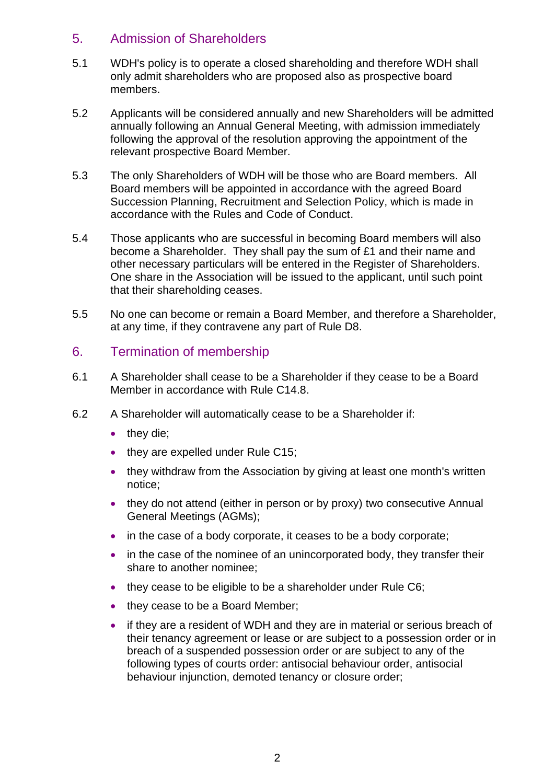## 5. Admission of Shareholders

- 5.1 WDH's policy is to operate a closed shareholding and therefore WDH shall only admit shareholders who are proposed also as prospective board members.
- 5.2 Applicants will be considered annually and new Shareholders will be admitted annually following an Annual General Meeting, with admission immediately following the approval of the resolution approving the appointment of the relevant prospective Board Member.
- 5.3 The only Shareholders of WDH will be those who are Board members. All Board members will be appointed in accordance with the agreed Board Succession Planning, Recruitment and Selection Policy, which is made in accordance with the Rules and Code of Conduct.
- 5.4 Those applicants who are successful in becoming Board members will also become a Shareholder. They shall pay the sum of £1 and their name and other necessary particulars will be entered in the Register of Shareholders. One share in the Association will be issued to the applicant, until such point that their shareholding ceases.
- 5.5 No one can become or remain a Board Member, and therefore a Shareholder, at any time, if they contravene any part of Rule D8.

## 6. Termination of membership

- 6.1 A Shareholder shall cease to be a Shareholder if they cease to be a Board Member in accordance with Rule C14.8.
- 6.2 A Shareholder will automatically cease to be a Shareholder if:
	- they die;
	- they are expelled under Rule C15;
	- they withdraw from the Association by giving at least one month's written notice;
	- they do not attend (either in person or by proxy) two consecutive Annual General Meetings (AGMs);
	- in the case of a body corporate, it ceases to be a body corporate;
	- in the case of the nominee of an unincorporated body, they transfer their share to another nominee;
	- they cease to be eligible to be a shareholder under Rule C6;
	- they cease to be a Board Member;
	- if they are a resident of WDH and they are in material or serious breach of their tenancy agreement or lease or are subject to a possession order or in breach of a suspended possession order or are subject to any of the following types of courts order: antisocial behaviour order, antisocial behaviour injunction, demoted tenancy or closure order;